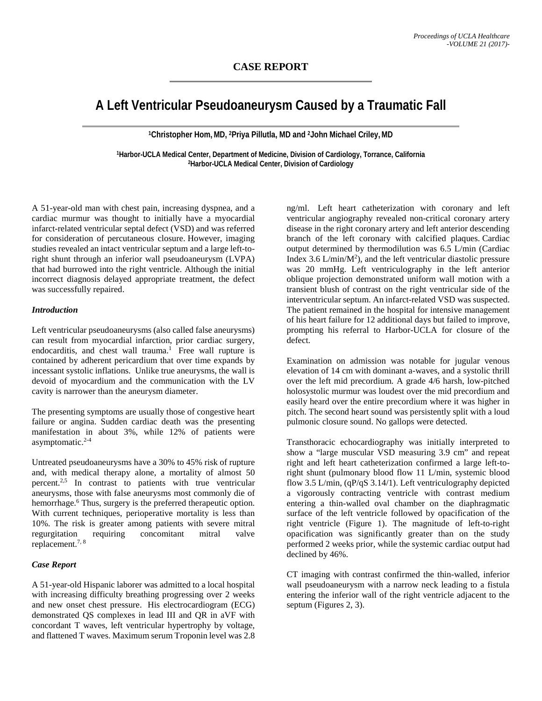# **A Left Ventricular Pseudoaneurysm Caused by a Traumatic Fall**

**1Christopher Hom,MD, 2Priya Pillutla, MD and 2John Michael Criley,MD**

**1Harbor-UCLA Medical Center, Department of Medicine, Division of Cardiology, Torrance, California 2Harbor-UCLA Medical Center, Division of Cardiology**

A 51-year-old man with chest pain, increasing dyspnea, and a cardiac murmur was thought to initially have a myocardial infarct-related ventricular septal defect (VSD) and was referred for consideration of percutaneous closure. However, imaging studies revealed an intact ventricular septum and a large left-toright shunt through an inferior wall pseudoaneurysm (LVPA) that had burrowed into the right ventricle. Although the initial incorrect diagnosis delayed appropriate treatment, the defect was successfully repaired.

## *Introduction*

Left ventricular pseudoaneurysms (also called false aneurysms) can result from myocardial infarction, prior cardiac surgery, endocarditis, and chest wall trauma.<sup>1</sup> Free wall rupture is contained by adherent pericardium that over time expands by incessant systolic inflations. Unlike true aneurysms, the wall is devoid of myocardium and the communication with the LV cavity is narrower than the aneurysm diameter.

The presenting symptoms are usually those of congestive heart failure or angina. Sudden cardiac death was the presenting manifestation in about 3%, while 12% of patients were asymptomatic.2-4

Untreated pseudoaneurysms have a 30% to 45% risk of rupture and, with medical therapy alone, a mortality of almost 50 percent.2,5 In contrast to patients with true ventricular aneurysms, those with false aneurysms most commonly die of hemorrhage.<sup>6</sup> Thus, surgery is the preferred therapeutic option. With current techniques, perioperative mortality is less than 10%. The risk is greater among patients with severe mitral regurgitation requiring concomitant mitral valve replacement.7, 8

## *Case Report*

A 51-year-old Hispanic laborer was admitted to a local hospital with increasing difficulty breathing progressing over 2 weeks and new onset chest pressure. His electrocardiogram (ECG) demonstrated QS complexes in lead III and QR in aVF with concordant T waves, left ventricular hypertrophy by voltage, and flattened T waves. Maximum serum Troponin level was 2.8

ng/ml. Left heart catheterization with coronary and left ventricular angiography revealed non-critical coronary artery disease in the right coronary artery and left anterior descending branch of the left coronary with calcified plaques. Cardiac output determined by thermodilution was 6.5 L/min (Cardiac Index 3.6  $L/min/M^2$ ), and the left ventricular diastolic pressure was 20 mmHg. Left ventriculography in the left anterior oblique projection demonstrated uniform wall motion with a transient blush of contrast on the right ventricular side of the interventricular septum. An infarct-related VSD was suspected. The patient remained in the hospital for intensive management of his heart failure for 12 additional days but failed to improve, prompting his referral to Harbor-UCLA for closure of the defect.

Examination on admission was notable for jugular venous elevation of 14 cm with dominant a-waves, and a systolic thrill over the left mid precordium. A grade 4/6 harsh, low-pitched holosystolic murmur was loudest over the mid precordium and easily heard over the entire precordium where it was higher in pitch. The second heart sound was persistently split with a loud pulmonic closure sound. No gallops were detected.

Transthoracic echocardiography was initially interpreted to show a "large muscular VSD measuring 3.9 cm" and repeat right and left heart catheterization confirmed a large left-toright shunt (pulmonary blood flow 11 L/min, systemic blood flow 3.5 L/min, (qP/qS 3.14/1). Left ventriculography depicted a vigorously contracting ventricle with contrast medium entering a thin-walled oval chamber on the diaphragmatic surface of the left ventricle followed by opacification of the right ventricle (Figure 1). The magnitude of left-to-right opacification was significantly greater than on the study performed 2 weeks prior, while the systemic cardiac output had declined by 46%.

CT imaging with contrast confirmed the thin-walled, inferior wall pseudoaneurysm with a narrow neck leading to a fistula entering the inferior wall of the right ventricle adjacent to the septum (Figures 2, 3).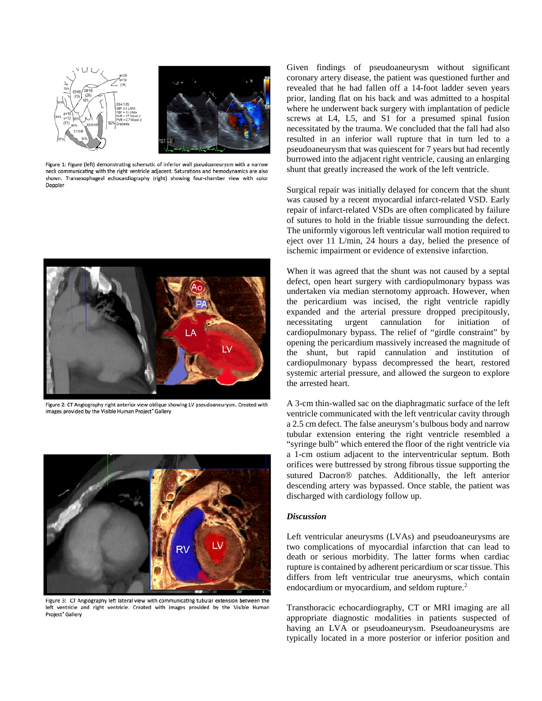

Figure 1: Figure (left) demonstrating schematic of inferior wall pseudoaneurysm with a narrow neck communicating with the right ventricle adjacent. Saturations and hemodynamics are also shown. Transesophageal echocardiography (right) showing four-chamber view with color Doppler



Figure 2: CT Angiography right anterior view oblique showing LV pseudoaneurysm. Created with images provided by the Visible Human Project® Gallery



Figure 3: CT Angiography left lateral view with communicating tubular extension between the left ventricle and right ventricle. Created with images provided by the Visible Human Project<sup>\*</sup> Gallery

Given findings of pseudoaneurysm without significant coronary artery disease, the patient was questioned further and revealed that he had fallen off a 14-foot ladder seven years prior, landing flat on his back and was admitted to a hospital where he underwent back surgery with implantation of pedicle screws at L4, L5, and S1 for a presumed spinal fusion necessitated by the trauma. We concluded that the fall had also resulted in an inferior wall rupture that in turn led to a pseudoaneurysm that was quiescent for 7 years but had recently burrowed into the adjacent right ventricle, causing an enlarging shunt that greatly increased the work of the left ventricle.

Surgical repair was initially delayed for concern that the shunt was caused by a recent myocardial infarct-related VSD. Early repair of infarct-related VSDs are often complicated by failure of sutures to hold in the friable tissue surrounding the defect. The uniformly vigorous left ventricular wall motion required to eject over 11 L/min, 24 hours a day, belied the presence of ischemic impairment or evidence of extensive infarction.

When it was agreed that the shunt was not caused by a septal defect, open heart surgery with cardiopulmonary bypass was undertaken via median sternotomy approach. However, when the pericardium was incised, the right ventricle rapidly expanded and the arterial pressure dropped precipitously, necessitating urgent cannulation for initiation of cardiopulmonary bypass. The relief of "girdle constraint" by opening the pericardium massively increased the magnitude of the shunt, but rapid cannulation and institution of cardiopulmonary bypass decompressed the heart, restored systemic arterial pressure, and allowed the surgeon to explore the arrested heart.

A 3-cm thin-walled sac on the diaphragmatic surface of the left ventricle communicated with the left ventricular cavity through a 2.5 cm defect. The false aneurysm's bulbous body and narrow tubular extension entering the right ventricle resembled a "syringe bulb" which entered the floor of the right ventricle via a 1-cm ostium adjacent to the interventricular septum. Both orifices were buttressed by strong fibrous tissue supporting the sutured Dacron<sup>®</sup> patches. Additionally, the left anterior descending artery was bypassed. Once stable, the patient was discharged with cardiology follow up.

## *Discussion*

Left ventricular aneurysms (LVAs) and pseudoaneurysms are two complications of myocardial infarction that can lead to death or serious morbidity. The latter forms when cardiac rupture is contained by adherent pericardium or scar tissue. This differs from left ventricular true aneurysms, which contain endocardium or myocardium, and seldom rupture.<sup>2</sup>

Transthoracic echocardiography, CT or MRI imaging are all appropriate diagnostic modalities in patients suspected of having an LVA or pseudoaneurysm. Pseudoaneurysms are typically located in a more posterior or inferior position and